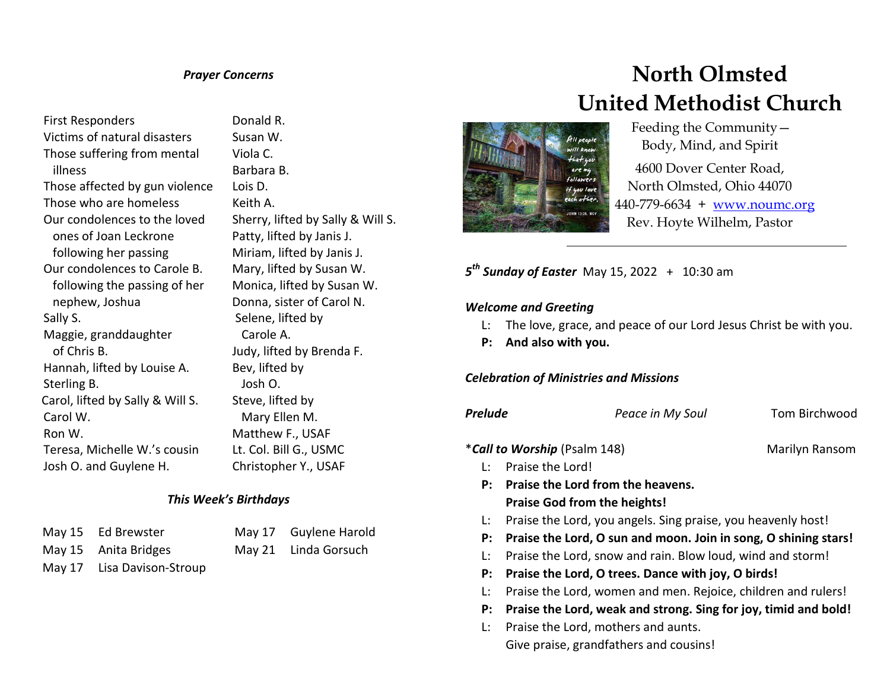## *Prayer Concerns*

First Responders Victims of natural disasters Those suffering from mental illness Those affected by gun violence Those who are homeless Our condolences to the loved ones of Joan Leckrone following her passing Our condolences to Carole B. following the passing of her nephew, Joshua Sally S. Maggie, granddaughter of Chris B. Hannah, lifted by Louise A. Sterling B. Carol, lifted by Sally & Will S. Carol W. Ron W. Teresa, Michelle W.'s cousin Josh O. and Guylene H.

 Donald R. Susan W. Viola C. Barbara B. Lois D. Keith A. Sherry, lifted by Sally & Will S. Patty, lifted by Janis J. Miriam, lifted by Janis J. Mary, lifted by Susan W. Monica, lifted by Susan W. Donna, sister of Carol N. Selene, lifted by Carole A. Judy, lifted by Brenda F. Bev, lifted by Josh O. Steve, lifted by Mary Ellen M. Matthew F., USAF

## *This Week's Birthdays*

| May 15 Ed Brewster         |
|----------------------------|
| May 15 Anita Bridges       |
| May 17 Lisa Davison-Stroup |

May 17 Guylene Harold Lt. Col. Bill G., USMC Christopher Y., USAF

May 21 Linda Gorsuch

# **North Olmsted United Methodist Church**



 Feeding the Community— Body, Mind, and Spirit

4600 Dover Center Road, North Olmsted, Ohio 44070 440-779-6634 + [www.noumc.org](http://www.noumc.org/) Rev. Hoyte Wilhelm, Pastor

*5 th Sunday of Easter* May 15, 2022 + 10:30 am

#### *Welcome and Greeting*

- L: The love, grace, and peace of our Lord Jesus Christ be with you.
- **P: And also with you.**

#### *Celebration of Ministries and Missions*

| Prelude | Peace in My Soul                                                | Tom Birchwood  |  |  |
|---------|-----------------------------------------------------------------|----------------|--|--|
|         | <i>*Call to Worship</i> (Psalm 148)                             | Marilyn Ransom |  |  |
| Ŀ       | Praise the Lord!                                                |                |  |  |
| P:      | Praise the Lord from the heavens.                               |                |  |  |
|         | <b>Praise God from the heights!</b>                             |                |  |  |
| Ŀ.      | Praise the Lord, you angels. Sing praise, you heavenly host!    |                |  |  |
| P:      | Praise the Lord, O sun and moon. Join in song, O shining stars! |                |  |  |
| Ŀ.      | Praise the Lord, snow and rain. Blow loud, wind and storm!      |                |  |  |
| P:      | Praise the Lord, O trees. Dance with joy, O birds!              |                |  |  |
| Ŀ.      | Praise the Lord, women and men. Rejoice, children and rulers!   |                |  |  |
| P:      | Praise the Lord, weak and strong. Sing for joy, timid and bold! |                |  |  |
| Ŀ.      | Praise the Lord, mothers and aunts.                             |                |  |  |
|         | Give praise, grandfathers and cousins!                          |                |  |  |